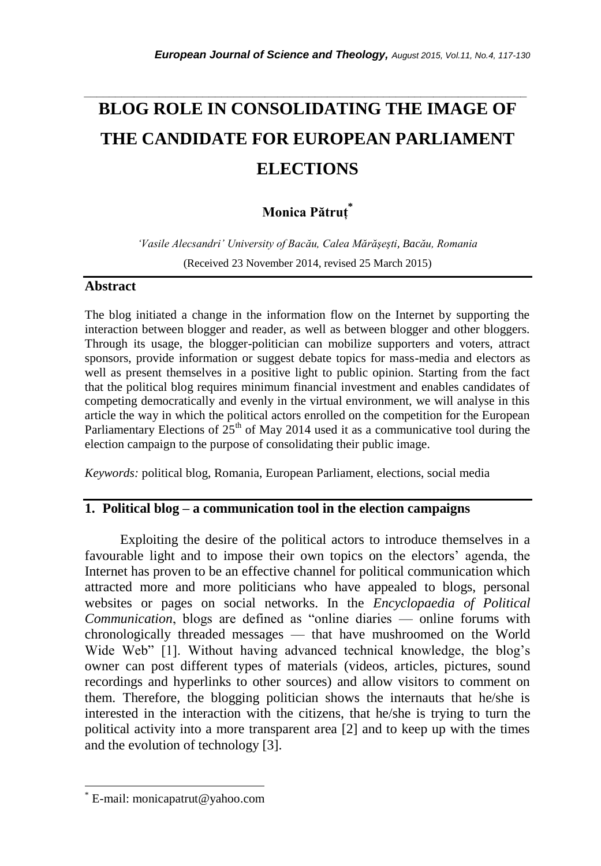# *\_\_\_\_\_\_\_\_\_\_\_\_\_\_\_\_\_\_\_\_\_\_\_\_\_\_\_\_\_\_\_\_\_\_\_\_\_\_\_\_\_\_\_\_\_\_\_\_\_\_\_\_\_\_\_\_\_\_\_\_\_\_\_\_\_\_\_\_\_\_\_* **BLOG ROLE IN CONSOLIDATING THE IMAGE OF THE CANDIDATE FOR EUROPEAN PARLIAMENT ELECTIONS**

# **Monica Pătruţ\***

*'Vasile Alecsandri' University of Bacău, Calea Mărăşeşti, Bacău, Romania*  (Received 23 November 2014, revised 25 March 2015)

# **Abstract**

The blog initiated a change in the information flow on the Internet by supporting the interaction between blogger and reader, as well as between blogger and other bloggers. Through its usage, the blogger-politician can mobilize supporters and voters, attract sponsors, provide information or suggest debate topics for mass-media and electors as well as present themselves in a positive light to public opinion. Starting from the fact that the political blog requires minimum financial investment and enables candidates of competing democratically and evenly in the virtual environment, we will analyse in this article the way in which the political actors enrolled on the competition for the European Parliamentary Elections of  $25<sup>th</sup>$  of May 2014 used it as a communicative tool during the election campaign to the purpose of consolidating their public image.

*Keywords:* political blog, Romania, European Parliament, elections, social media

#### **1. Political blog – a communication tool in the election campaigns**

Exploiting the desire of the political actors to introduce themselves in a favourable light and to impose their own topics on the electors' agenda, the Internet has proven to be an effective channel for political communication which attracted more and more politicians who have appealed to blogs, personal websites or pages on social networks. In the *Encyclopaedia of Political Communication*, blogs are defined as "online diaries — online forums with chronologically threaded messages — that have mushroomed on the World Wide Web" [1]. Without having advanced technical knowledge, the blog's owner can post different types of materials (videos, articles, pictures, sound recordings and hyperlinks to other sources) and allow visitors to comment on them. Therefore, the blogging politician shows the internauts that he/she is interested in the interaction with the citizens, that he/she is trying to turn the political activity into a more transparent area [2] and to keep up with the times and the evolution of technology [3].

l

E-mail: monicapatrut@yahoo.com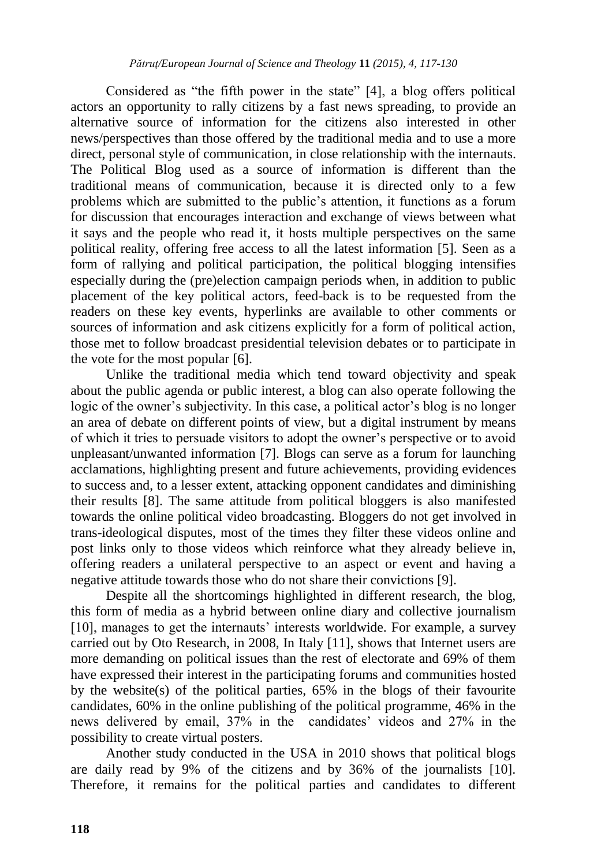Considered as "the fifth power in the state" [4], a blog offers political actors an opportunity to rally citizens by a fast news spreading, to provide an alternative source of information for the citizens also interested in other news/perspectives than those offered by the traditional media and to use a more direct, personal style of communication, in close relationship with the internauts. The Political Blog used as a source of information is different than the traditional means of communication, because it is directed only to a few problems which are submitted to the public's attention, it functions as a forum for discussion that encourages interaction and exchange of views between what it says and the people who read it, it hosts multiple perspectives on the same political reality, offering free access to all the latest information [5]. Seen as a form of rallying and political participation, the political blogging intensifies especially during the (pre)election campaign periods when, in addition to public placement of the key political actors, feed-back is to be requested from the readers on these key events, hyperlinks are available to other comments or sources of information and ask citizens explicitly for a form of political action, those met to follow broadcast presidential television debates or to participate in the vote for the most popular [6].

Unlike the traditional media which tend toward objectivity and speak about the public agenda or public interest, a blog can also operate following the logic of the owner's subjectivity. In this case, a political actor's blog is no longer an area of debate on different points of view, but a digital instrument by means of which it tries to persuade visitors to adopt the owner's perspective or to avoid unpleasant/unwanted information [7]. Blogs can serve as a forum for launching acclamations, highlighting present and future achievements, providing evidences to success and, to a lesser extent, attacking opponent candidates and diminishing their results [8]. The same attitude from political bloggers is also manifested towards the online political video broadcasting. Bloggers do not get involved in trans-ideological disputes, most of the times they filter these videos online and post links only to those videos which reinforce what they already believe in, offering readers a unilateral perspective to an aspect or event and having a negative attitude towards those who do not share their convictions [9].

Despite all the shortcomings highlighted in different research, the blog, this form of media as a hybrid between online diary and collective journalism [10], manages to get the internauts' interests worldwide. For example, a survey carried out by Oto Research, in 2008, In Italy [11], shows that Internet users are more demanding on political issues than the rest of electorate and 69% of them have expressed their interest in the participating forums and communities hosted by the website(s) of the political parties, 65% in the blogs of their favourite candidates, 60% in the online publishing of the political programme, 46% in the news delivered by email, 37% in the candidates' videos and 27% in the possibility to create virtual posters.

Another study conducted in the USA in 2010 shows that political blogs are daily read by 9% of the citizens and by 36% of the journalists [10]. Therefore, it remains for the political parties and candidates to different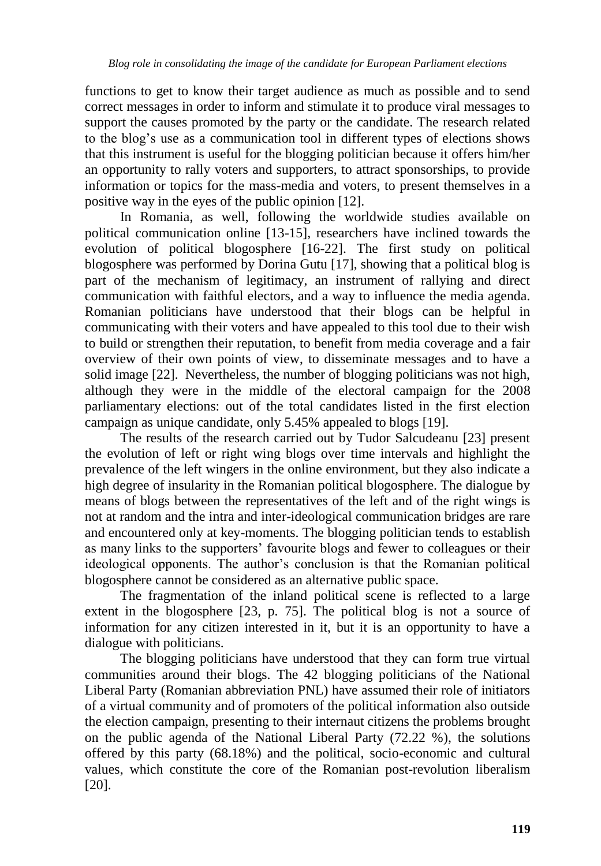functions to get to know their target audience as much as possible and to send correct messages in order to inform and stimulate it to produce viral messages to support the causes promoted by the party or the candidate. The research related to the blog's use as a communication tool in different types of elections shows that this instrument is useful for the blogging politician because it offers him/her an opportunity to rally voters and supporters, to attract sponsorships, to provide information or topics for the mass-media and voters, to present themselves in a positive way in the eyes of the public opinion [12].

In Romania, as well, following the worldwide studies available on political communication online [13-15], researchers have inclined towards the evolution of political blogosphere [16-22]. The first study on political blogosphere was performed by Dorina Gutu [17], showing that a political blog is part of the mechanism of legitimacy, an instrument of rallying and direct communication with faithful electors, and a way to influence the media agenda. Romanian politicians have understood that their blogs can be helpful in communicating with their voters and have appealed to this tool due to their wish to build or strengthen their reputation, to benefit from media coverage and a fair overview of their own points of view, to disseminate messages and to have a solid image [22]. Nevertheless, the number of blogging politicians was not high, although they were in the middle of the electoral campaign for the 2008 parliamentary elections: out of the total candidates listed in the first election campaign as unique candidate, only 5.45% appealed to blogs [19].

The results of the research carried out by Tudor Salcudeanu [23] present the evolution of left or right wing blogs over time intervals and highlight the prevalence of the left wingers in the online environment, but they also indicate a high degree of insularity in the Romanian political blogosphere. The dialogue by means of blogs between the representatives of the left and of the right wings is not at random and the intra and inter-ideological communication bridges are rare and encountered only at key-moments. The blogging politician tends to establish as many links to the supporters' favourite blogs and fewer to colleagues or their ideological opponents. The author's conclusion is that the Romanian political blogosphere cannot be considered as an alternative public space.

The fragmentation of the inland political scene is reflected to a large extent in the blogosphere [23, p. 75]. The political blog is not a source of information for any citizen interested in it, but it is an opportunity to have a dialogue with politicians.

The blogging politicians have understood that they can form true virtual communities around their blogs. The 42 blogging politicians of the National Liberal Party (Romanian abbreviation PNL) have assumed their role of initiators of a virtual community and of promoters of the political information also outside the election campaign, presenting to their internaut citizens the problems brought on the public agenda of the National Liberal Party (72.22 %), the solutions offered by this party (68.18%) and the political, socio-economic and cultural values, which constitute the core of the Romanian post-revolution liberalism [20].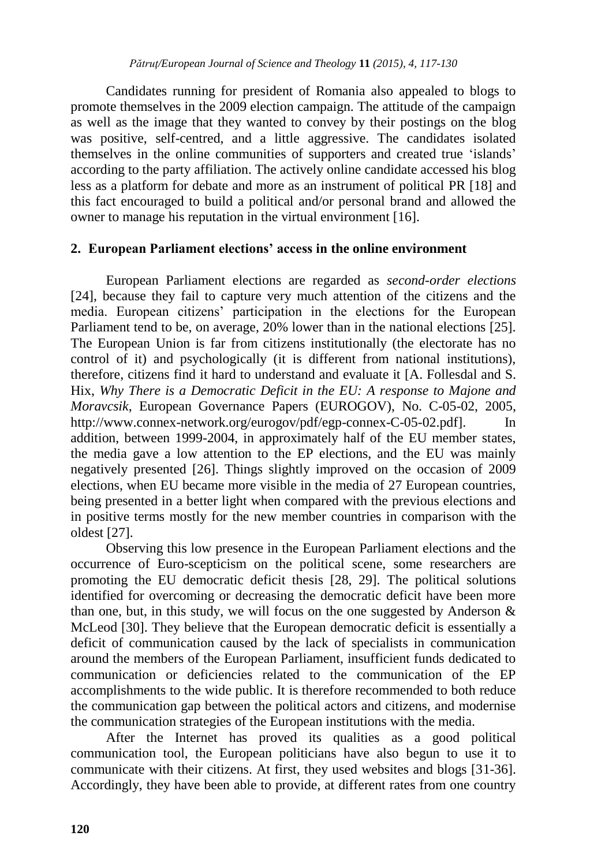Candidates running for president of Romania also appealed to blogs to promote themselves in the 2009 election campaign. The attitude of the campaign as well as the image that they wanted to convey by their postings on the blog was positive, self-centred, and a little aggressive. The candidates isolated themselves in the online communities of supporters and created true 'islands' according to the party affiliation. The actively online candidate accessed his blog less as a platform for debate and more as an instrument of political PR [18] and this fact encouraged to build a political and/or personal brand and allowed the owner to manage his reputation in the virtual environment [16].

# **2. European Parliament elections' access in the online environment**

European Parliament elections are regarded as *second-order elections* [24], because they fail to capture very much attention of the citizens and the media. European citizens' participation in the elections for the European Parliament tend to be, on average, 20% lower than in the national elections [25]. The European Union is far from citizens institutionally (the electorate has no control of it) and psychologically (it is different from national institutions), therefore, citizens find it hard to understand and evaluate it [A. Follesdal and S. Hix, *Why There is a Democratic Deficit in the EU: A response to Majone and Moravcsik*, European Governance Papers (EUROGOV), No. C-05-02, 2005, [http://www.connex-network.org/eurogov/pdf/egp-connex-C-05-02.pdf\]](http://www.connex-network.org/eurogov/pdf/egp-connex-C-05-02.pdf). In addition, between 1999-2004, in approximately half of the EU member states, the media gave a low attention to the EP elections, and the EU was mainly negatively presented [26]. Things slightly improved on the occasion of 2009 elections, when EU became more visible in the media of 27 European countries, being presented in a better light when compared with the previous elections and in positive terms mostly for the new member countries in comparison with the oldest [27].

Observing this low presence in the European Parliament elections and the occurrence of Euro-scepticism on the political scene, some researchers are promoting the EU democratic deficit thesis [28, 29]. The political solutions identified for overcoming or decreasing the democratic deficit have been more than one, but, in this study, we will focus on the one suggested by Anderson  $\&$ McLeod [30]. They believe that the European democratic deficit is essentially a deficit of communication caused by the lack of specialists in communication around the members of the European Parliament, insufficient funds dedicated to communication or deficiencies related to the communication of the EP accomplishments to the wide public. It is therefore recommended to both reduce the communication gap between the political actors and citizens, and modernise the communication strategies of the European institutions with the media.

After the Internet has proved its qualities as a good political communication tool, the European politicians have also begun to use it to communicate with their citizens. At first, they used websites and blogs [31-36]. Accordingly, they have been able to provide, at different rates from one country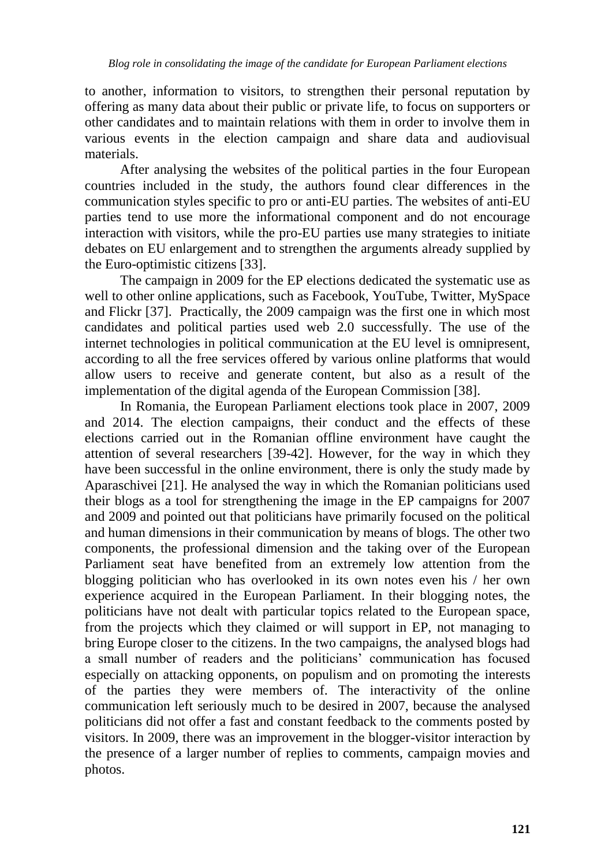to another, information to visitors, to strengthen their personal reputation by offering as many data about their public or private life, to focus on supporters or other candidates and to maintain relations with them in order to involve them in various events in the election campaign and share data and audiovisual materials.

After analysing the websites of the political parties in the four European countries included in the study, the authors found clear differences in the communication styles specific to pro or anti-EU parties. The websites of anti-EU parties tend to use more the informational component and do not encourage interaction with visitors, while the pro-EU parties use many strategies to initiate debates on EU enlargement and to strengthen the arguments already supplied by the Euro-optimistic citizens [33].

The campaign in 2009 for the EP elections dedicated the systematic use as well to other online applications, such as Facebook, YouTube, Twitter, MySpace and Flickr [37]. Practically, the 2009 campaign was the first one in which most candidates and political parties used web 2.0 successfully. The use of the internet technologies in political communication at the EU level is omnipresent, according to all the free services offered by various online platforms that would allow users to receive and generate content, but also as a result of the implementation of the digital agenda of the European Commission [38].

In Romania, the European Parliament elections took place in 2007, 2009 and 2014. The election campaigns, their conduct and the effects of these elections carried out in the Romanian offline environment have caught the attention of several researchers [39-42]. However, for the way in which they have been successful in the online environment, there is only the study made by Aparaschivei [21]. He analysed the way in which the Romanian politicians used their blogs as a tool for strengthening the image in the EP campaigns for 2007 and 2009 and pointed out that politicians have primarily focused on the political and human dimensions in their communication by means of blogs. The other two components, the professional dimension and the taking over of the European Parliament seat have benefited from an extremely low attention from the blogging politician who has overlooked in its own notes even his / her own experience acquired in the European Parliament. In their blogging notes, the politicians have not dealt with particular topics related to the European space, from the projects which they claimed or will support in EP, not managing to bring Europe closer to the citizens. In the two campaigns, the analysed blogs had a small number of readers and the politicians' communication has focused especially on attacking opponents, on populism and on promoting the interests of the parties they were members of. The interactivity of the online communication left seriously much to be desired in 2007, because the analysed politicians did not offer a fast and constant feedback to the comments posted by visitors. In 2009, there was an improvement in the blogger-visitor interaction by the presence of a larger number of replies to comments, campaign movies and photos.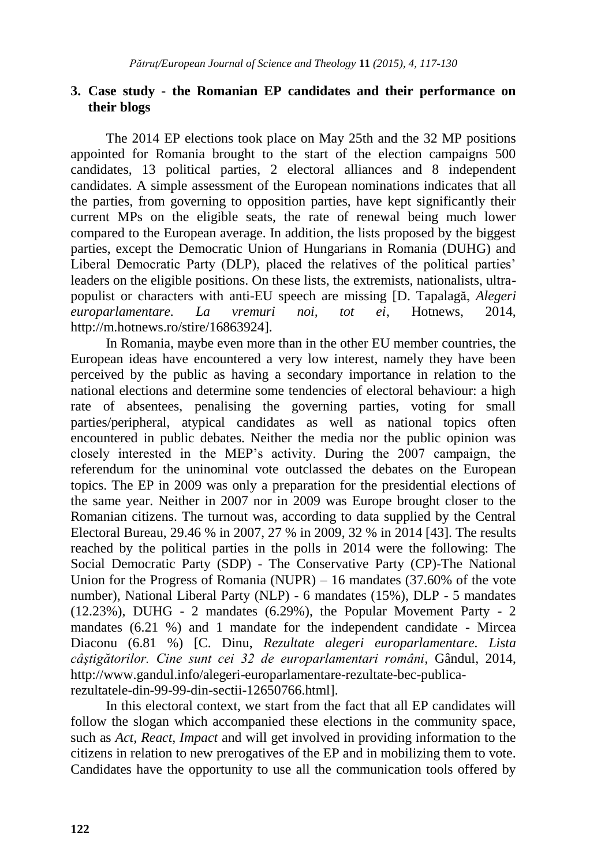### **3. Case study - the Romanian EP candidates and their performance on their blogs**

The 2014 EP elections took place on May 25th and the 32 MP positions appointed for Romania brought to the start of the election campaigns 500 candidates, 13 political parties, 2 electoral alliances and 8 independent candidates. A simple assessment of the European nominations indicates that all the parties, from governing to opposition parties, have kept significantly their current MPs on the eligible seats, the rate of renewal being much lower compared to the European average. In addition, the lists proposed by the biggest parties, except the Democratic Union of Hungarians in Romania (DUHG) and Liberal Democratic Party (DLP), placed the relatives of the political parties' leaders on the eligible positions. On these lists, the extremists, nationalists, ultrapopulist or characters with anti-EU speech are missing [D. Tapalagă, *Alegeri europarlamentare. La vremuri noi, tot ei*, Hotnews, 2014, http://m.hotnews.ro/stire/16863924].

In Romania, maybe even more than in the other EU member countries, the European ideas have encountered a very low interest, namely they have been perceived by the public as having a secondary importance in relation to the national elections and determine some tendencies of electoral behaviour: a high rate of absentees, penalising the governing parties, voting for small parties/peripheral, atypical candidates as well as national topics often encountered in public debates. Neither the media nor the public opinion was closely interested in the MEP's activity. During the 2007 campaign, the referendum for the uninominal vote outclassed the debates on the European topics. The EP in 2009 was only a preparation for the presidential elections of the same year. Neither in 2007 nor in 2009 was Europe brought closer to the Romanian citizens. The turnout was, according to data supplied by the Central Electoral Bureau, 29.46 % in 2007, 27 % in 2009, 32 % in 2014 [43]. The results reached by the political parties in the polls in 2014 were the following: The Social Democratic Party (SDP) - The Conservative Party (CP)-The National Union for the Progress of Romania (NUPR) – 16 mandates  $(37.60\%$  of the vote number), National Liberal Party (NLP) - 6 mandates (15%), DLP - 5 mandates  $(12.23\%)$ , DUHG - 2 mandates  $(6.29\%)$ , the Popular Movement Party - 2 mandates (6.21 %) and 1 mandate for the independent candidate - Mircea Diaconu (6.81 %) [C. Dinu, *Rezultate alegeri europarlamentare. Lista câştigătorilor. Cine sunt cei 32 de europarlamentari români*, Gândul, 2014, http://www.gandul.info/alegeri-europarlamentare-rezultate-bec-publicarezultatele-din-99-99-din-sectii-12650766.html].

In this electoral context, we start from the fact that all EP candidates will follow the slogan which accompanied these elections in the community space, such as *Act, React, Impact* and will get involved in providing information to the citizens in relation to new prerogatives of the EP and in mobilizing them to vote. Candidates have the opportunity to use all the communication tools offered by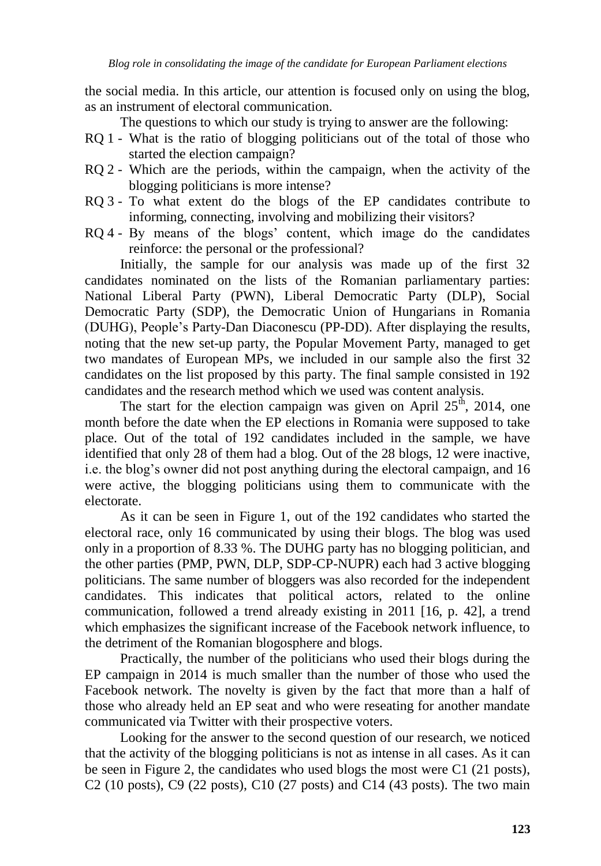the social media. In this article, our attention is focused only on using the blog, as an instrument of electoral communication.

The questions to which our study is trying to answer are the following:

- RQ 1 What is the ratio of blogging politicians out of the total of those who started the election campaign?
- RQ 2 Which are the periods, within the campaign, when the activity of the blogging politicians is more intense?
- RQ 3 To what extent do the blogs of the EP candidates contribute to informing, connecting, involving and mobilizing their visitors?
- RQ 4 By means of the blogs' content, which image do the candidates reinforce: the personal or the professional?

Initially, the sample for our analysis was made up of the first 32 candidates nominated on the lists of the Romanian parliamentary parties: National Liberal Party (PWN), Liberal Democratic Party (DLP), Social Democratic Party (SDP), the Democratic Union of Hungarians in Romania (DUHG), People's Party-Dan Diaconescu (PP-DD). After displaying the results, noting that the new set-up party, the Popular Movement Party, managed to get two mandates of European MPs, we included in our sample also the first 32 candidates on the list proposed by this party. The final sample consisted in 192 candidates and the research method which we used was content analysis.

The start for the election campaign was given on April  $25<sup>th</sup>$ , 2014, one month before the date when the EP elections in Romania were supposed to take place. Out of the total of 192 candidates included in the sample, we have identified that only 28 of them had a blog. Out of the 28 blogs, 12 were inactive, i.e. the blog's owner did not post anything during the electoral campaign, and 16 were active, the blogging politicians using them to communicate with the electorate.

As it can be seen in Figure 1, out of the 192 candidates who started the electoral race, only 16 communicated by using their blogs. The blog was used only in a proportion of 8.33 %. The DUHG party has no blogging politician, and the other parties (PMP, PWN, DLP, SDP-CP-NUPR) each had 3 active blogging politicians. The same number of bloggers was also recorded for the independent candidates. This indicates that political actors, related to the online communication, followed a trend already existing in 2011 [16, p. 42], a trend which emphasizes the significant increase of the Facebook network influence, to the detriment of the Romanian blogosphere and blogs.

Practically, the number of the politicians who used their blogs during the EP campaign in 2014 is much smaller than the number of those who used the Facebook network. The novelty is given by the fact that more than a half of those who already held an EP seat and who were reseating for another mandate communicated via Twitter with their prospective voters.

Looking for the answer to the second question of our research, we noticed that the activity of the blogging politicians is not as intense in all cases. As it can be seen in Figure 2, the candidates who used blogs the most were C1 (21 posts), C2 (10 posts), C9 (22 posts), C10 (27 posts) and C14 (43 posts). The two main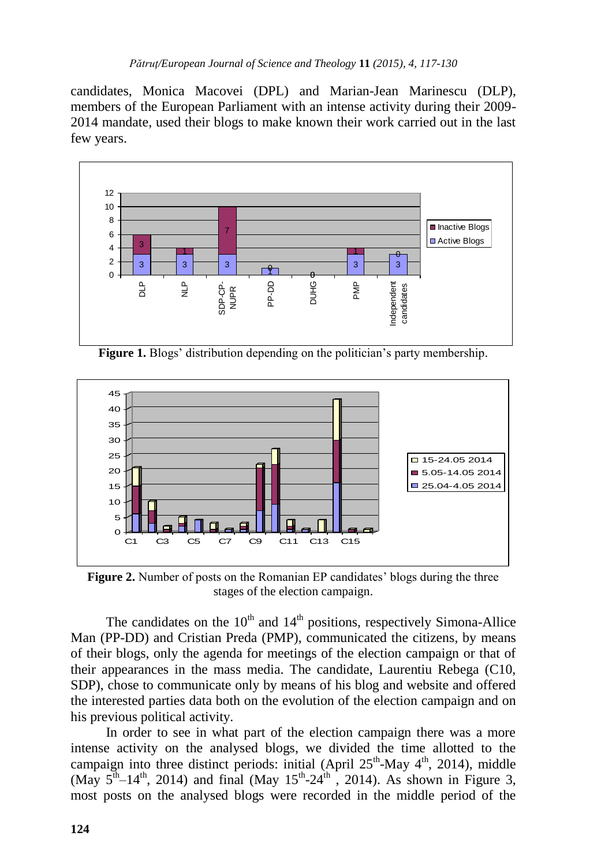candidates, Monica Macovei (DPL) and Marian-Jean Marinescu (DLP), members of the European Parliament with an intense activity during their 2009- 2014 mandate, used their blogs to make known their work carried out in the last few years.



**Figure 1.** Blogs' distribution depending on the politician's party membership.



**Figure 2.** Number of posts on the Romanian EP candidates' blogs during the three stages of the election campaign.

The candidates on the  $10<sup>th</sup>$  and  $14<sup>th</sup>$  positions, respectively Simona-Allice Man (PP-DD) and Cristian Preda (PMP), communicated the citizens, by means of their blogs, only the agenda for meetings of the election campaign or that of their appearances in the mass media. The candidate, Laurentiu Rebega (C10, SDP), chose to communicate only by means of his blog and website and offered the interested parties data both on the evolution of the election campaign and on his previous political activity.

In order to see in what part of the election campaign there was a more intense activity on the analysed blogs, we divided the time allotted to the campaign into three distinct periods: initial (April  $25<sup>th</sup>$ -May  $4<sup>th</sup>$ , 2014), middle (May  $5<sup>th</sup>-14<sup>th</sup>$ , 2014) and final (May  $15<sup>th</sup>-24<sup>th</sup>$ , 2014). As shown in Figure 3, most posts on the analysed blogs were recorded in the middle period of the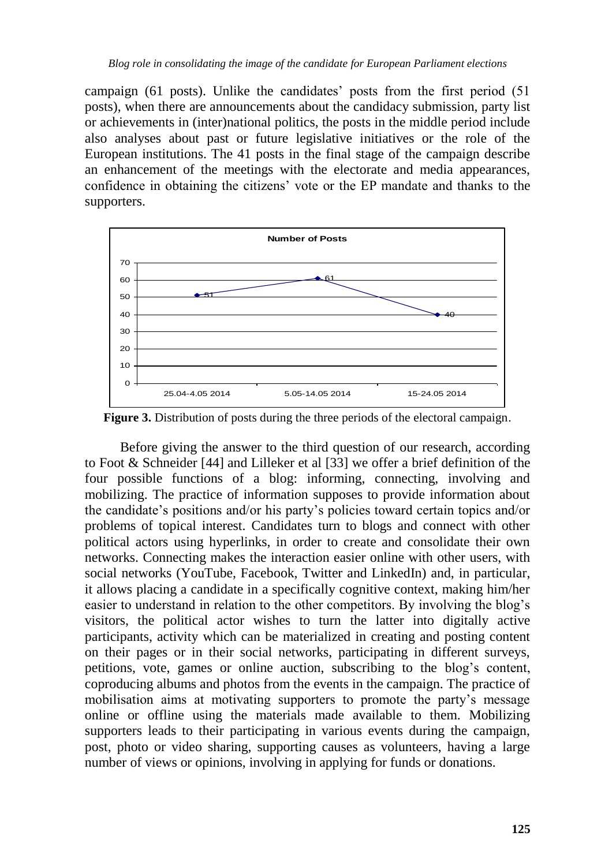campaign (61 posts). Unlike the candidates' posts from the first period (51 posts), when there are announcements about the candidacy submission, party list or achievements in (inter)national politics, the posts in the middle period include also analyses about past or future legislative initiatives or the role of the European institutions. The 41 posts in the final stage of the campaign describe an enhancement of the meetings with the electorate and media appearances, confidence in obtaining the citizens' vote or the EP mandate and thanks to the supporters.



**Figure 3.** Distribution of posts during the three periods of the electoral campaign.

Before giving the answer to the third question of our research, according to Foot & Schneider [44] and Lilleker et al [33] we offer a brief definition of the four possible functions of a blog: informing, connecting, involving and mobilizing. The practice of information supposes to provide information about the candidate's positions and/or his party's policies toward certain topics and/or problems of topical interest. Candidates turn to blogs and connect with other political actors using hyperlinks, in order to create and consolidate their own networks. Connecting makes the interaction easier online with other users, with social networks (YouTube, Facebook, Twitter and LinkedIn) and, in particular, it allows placing a candidate in a specifically cognitive context, making him/her easier to understand in relation to the other competitors. By involving the blog's visitors, the political actor wishes to turn the latter into digitally active participants, activity which can be materialized in creating and posting content on their pages or in their social networks, participating in different surveys, petitions, vote, games or online auction, subscribing to the blog's content, coproducing albums and photos from the events in the campaign. The practice of mobilisation aims at motivating supporters to promote the party's message online or offline using the materials made available to them. Mobilizing supporters leads to their participating in various events during the campaign, post, photo or video sharing, supporting causes as volunteers, having a large number of views or opinions, involving in applying for funds or donations.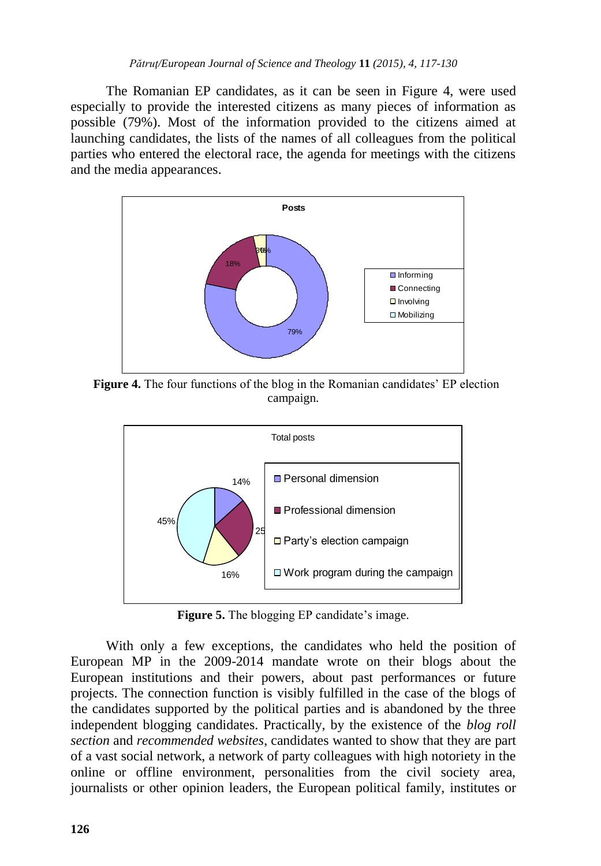The Romanian EP candidates, as it can be seen in Figure 4, were used especially to provide the interested citizens as many pieces of information as possible (79%). Most of the information provided to the citizens aimed at launching candidates, the lists of the names of all colleagues from the political parties who entered the electoral race, the agenda for meetings with the citizens and the media appearances.



 **Figure 4.** The four functions of the blog in the Romanian candidates' EP election campaign.



**Figure 5.** The blogging EP candidate's image.

With only a few exceptions, the candidates who held the position of European MP in the 2009-2014 mandate wrote on their blogs about the European institutions and their powers, about past performances or future projects. The connection function is visibly fulfilled in the case of the blogs of the candidates supported by the political parties and is abandoned by the three independent blogging candidates. Practically, by the existence of the *blog roll section* and *recommended websites*, candidates wanted to show that they are part of a vast social network, a network of party colleagues with high notoriety in the online or offline environment, personalities from the civil society area, journalists or other opinion leaders, the European political family, institutes or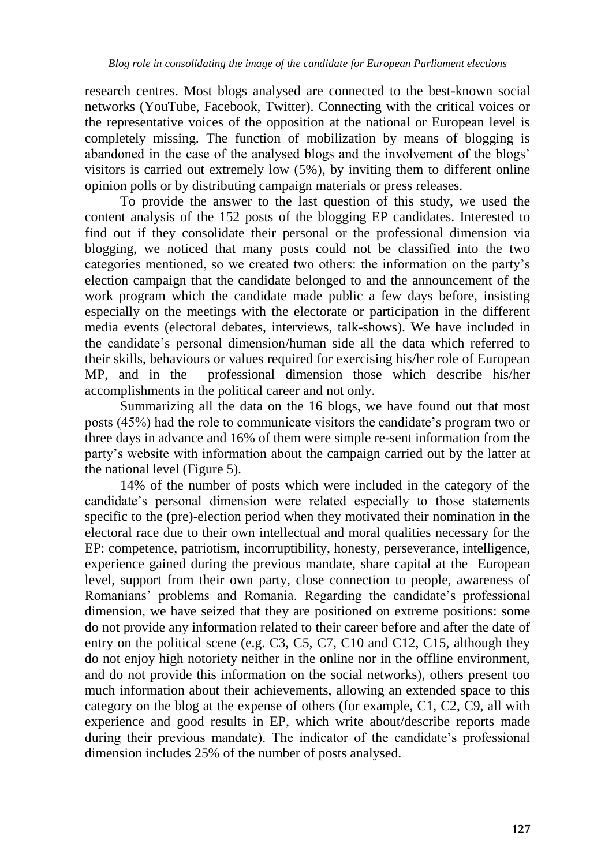research centres. Most blogs analysed are connected to the best-known social networks (YouTube, Facebook, Twitter). Connecting with the critical voices or the representative voices of the opposition at the national or European level is completely missing. The function of mobilization by means of blogging is abandoned in the case of the analysed blogs and the involvement of the blogs' visitors is carried out extremely low (5%), by inviting them to different online opinion polls or by distributing campaign materials or press releases.

To provide the answer to the last question of this study, we used the content analysis of the 152 posts of the blogging EP candidates. Interested to find out if they consolidate their personal or the professional dimension via blogging, we noticed that many posts could not be classified into the two categories mentioned, so we created two others: the information on the party's election campaign that the candidate belonged to and the announcement of the work program which the candidate made public a few days before, insisting especially on the meetings with the electorate or participation in the different media events (electoral debates, interviews, talk-shows). We have included in the candidate's personal dimension/human side all the data which referred to their skills, behaviours or values required for exercising his/her role of European MP, and in the professional dimension those which describe his/her accomplishments in the political career and not only.

Summarizing all the data on the 16 blogs, we have found out that most posts (45%) had the role to communicate visitors the candidate's program two or three days in advance and 16% of them were simple re-sent information from the party's website with information about the campaign carried out by the latter at the national level (Figure 5).

14% of the number of posts which were included in the category of the candidate's personal dimension were related especially to those statements specific to the (pre)-election period when they motivated their nomination in the electoral race due to their own intellectual and moral qualities necessary for the EP: competence, patriotism, incorruptibility, honesty, perseverance, intelligence, experience gained during the previous mandate, share capital at the European level, support from their own party, close connection to people, awareness of Romanians' problems and Romania. Regarding the candidate's professional dimension, we have seized that they are positioned on extreme positions: some do not provide any information related to their career before and after the date of entry on the political scene (e.g. C3, C5, C7, C10 and C12, C15, although they do not enjoy high notoriety neither in the online nor in the offline environment, and do not provide this information on the social networks), others present too much information about their achievements, allowing an extended space to this category on the blog at the expense of others (for example, C1, C2, C9, all with experience and good results in EP, which write about/describe reports made during their previous mandate). The indicator of the candidate's professional dimension includes 25% of the number of posts analysed.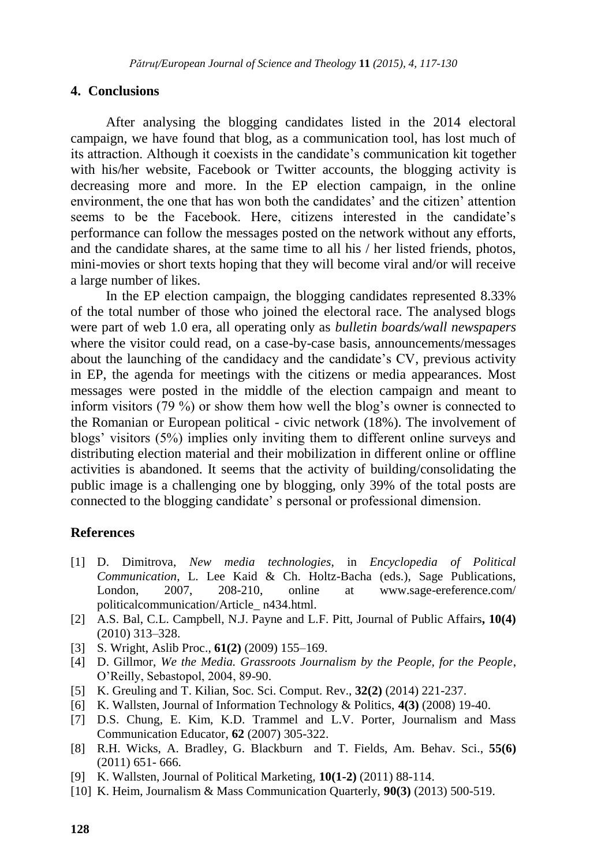#### **4. Conclusions**

After analysing the blogging candidates listed in the 2014 electoral campaign, we have found that blog, as a communication tool, has lost much of its attraction. Although it coexists in the candidate's communication kit together with his/her website. Facebook or Twitter accounts, the blogging activity is decreasing more and more. In the EP election campaign, in the online environment, the one that has won both the candidates' and the citizen' attention seems to be the Facebook. Here, citizens interested in the candidate's performance can follow the messages posted on the network without any efforts, and the candidate shares, at the same time to all his / her listed friends, photos, mini-movies or short texts hoping that they will become viral and/or will receive a large number of likes.

In the EP election campaign, the blogging candidates represented 8.33% of the total number of those who joined the electoral race. The analysed blogs were part of web 1.0 era, all operating only as *bulletin boards/wall newspapers* where the visitor could read, on a case-by-case basis, announcements/messages about the launching of the candidacy and the candidate's CV, previous activity in EP, the agenda for meetings with the citizens or media appearances. Most messages were posted in the middle of the election campaign and meant to inform visitors (79 %) or show them how well the blog's owner is connected to the Romanian or European political - civic network (18%). The involvement of blogs' visitors (5%) implies only inviting them to different online surveys and distributing election material and their mobilization in different online or offline activities is abandoned. It seems that the activity of building/consolidating the public image is a challenging one by blogging, only 39% of the total posts are connected to the blogging candidate' s personal or professional dimension.

#### **References**

- [1] D. Dimitrova, *New media technologies*, in *Encyclopedia of Political Communication*, [L. Lee Kaid](http://www.flipkart.com/author/lynda-lee-kaid/) & [Ch. Holtz-Bacha](http://www.flipkart.com/author/christina-holtz-bacha/) (eds.), Sage Publications, London, 2007, 208-210, online at www.sage-ereference.com/ politicalcommunication/Article\_ n434.html.
- [2] A.S. Bal, C.L. Campbell, N.J. Payne and L.F. Pitt, Journal of Public Affairs**, 10(4)** (2010) 313–328.
- [3] S. Wright, Aslib Proc., **61(2)** (2009) 155–169.
- [4] D. Gillmor, *We the Media. Grassroots Journalism by the People, for the People*, O'Reilly, Sebastopol, 2004, 89-90.
- [5] K. Greuling and T. Kilian, Soc. Sci. Comput. Rev., **32(2)** (2014) 221-237.
- [6] K. Wallsten, Journal of Information Technology & Politics, **4(3)** (2008) 19-40.
- [7] D.S. Chung, E. Kim, K.D. Trammel and L.V. Porter, Journalism and Mass Communication Educator, **62** (2007) 305-322.
- [8] R.H. Wicks, A. Bradley, G. Blackburn and T. Fields, Am. Behav. Sci., **55(6)** (2011) 651- 666.
- [9] K. Wallsten, Journal of Political Marketing, **10(1-2)** (2011) 88-114.
- [10] K. Heim, Journalism & Mass Communication Quarterly, **90(3)** (2013) 500-519.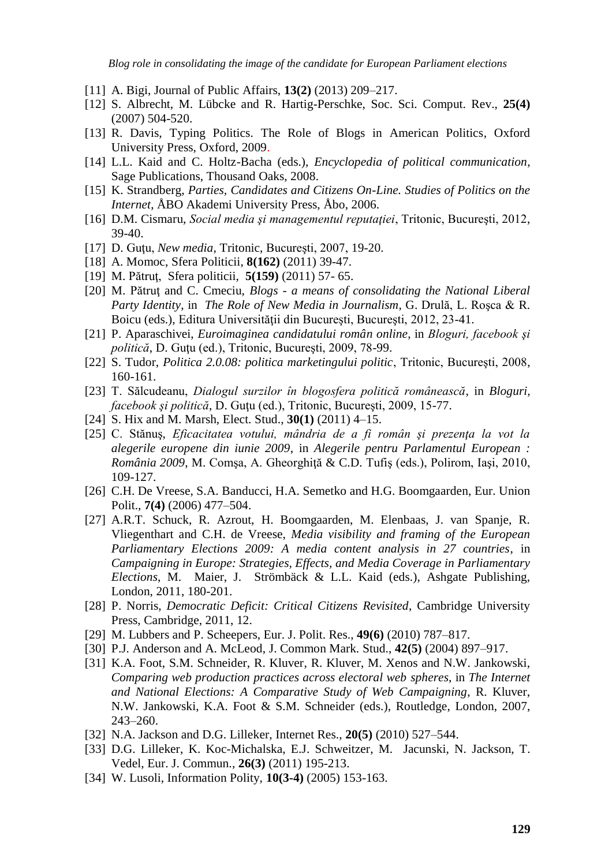*Blog role in consolidating the image of the candidate for European Parliament elections*

- [11] A. Bigi, Journal of Public Affairs, **13(2)** (2013) 209–217.
- [12] S. Albrecht, M. Lübcke and R. Hartig-Perschke, Soc. Sci. Comput. Rev., **25(4)** (2007) 504-520.
- [13] R. Davis, Typing Politics. The Role of Blogs in American Politics, Oxford University Press, Oxford, 2009.
- [14] L.L. Kaid and C. Holtz-Bacha (eds.), *Encyclopedia of political communication*, Sage Publications, Thousand Oaks, 2008.
- [15] K. Strandberg, *Parties, Candidates and Citizens On-Line. Studies of Politics on the Internet*, ÅBO Akademi University Press, Åbo, 2006.
- [16] D.M. Cismaru, *Social media şi managementul reputaţiei*, Tritonic, Bucureşti, 2012, 39-40.
- [17] D. Guţu, *New media*, Tritonic, Bucureşti, 2007, 19-20.
- [18] A. Momoc, Sfera Politicii, **8(162)** (2011) 39-47.
- [19] M. Pătruţ, Sfera politicii, **5(159)** (2011) 57- 65.
- [20] M. Pătruţ and C. Cmeciu, *Blogs - a means of consolidating the National Liberal Party Identity*, in *The Role of New Media in Journalism*, G. Drulă, L. Roşca & R. Boicu (eds.), Editura Universităţii din Bucureşti, Bucureşti, 2012, 23-41.
- [21] P. Aparaschivei, *Euroimaginea candidatului român online*, in *Bloguri, facebook şi politică*, D. Guţu (ed.), Tritonic, Bucureşti, 2009, 78-99.
- [22] S. Tudor, *Politica 2.0.08: politica marketingului politic*, Tritonic, Bucureşti, 2008, 160-161.
- [23] T. Sălcudeanu, *Dialogul surzilor în blogosfera politică românească*, in *Bloguri, facebook şi politică*, D. Guţu (ed.), Tritonic, Bucureşti, 2009, 15-77.
- [24] S. Hix and M. Marsh, Elect. Stud., **30(1)** (2011) 4–15.
- [25] C. Stănuş, *Eficacitatea votului, mândria de a fi român şi prezenţa la vot la alegerile europene din iunie 2009*, in *Alegerile pentru Parlamentul European : România 2009*, M. Comşa, A. Gheorghiţă & C.D. Tufiş (eds.), Polirom, Iaşi, 2010, 109-127.
- [26] C.H. De Vreese, S.A. Banducci, H.A. Semetko and H.G. Boomgaarden, Eur. Union Polit., **7(4)** (2006) 477–504.
- [27] A.R.T. Schuck, R. Azrout, H. Boomgaarden, M. Elenbaas, J. van Spanje, R. Vliegenthart and C.H. de Vreese, *Media visibility and framing of the European Parliamentary Elections 2009: A media content analysis in 27 countries*, in *Campaigning in Europe: Strategies, Effects, and Media Coverage in Parliamentary Elections*, M. Maier, J. Strömbäck & L.L. Kaid (eds.), Ashgate Publishing, London, 2011, 180-201.
- [28] P. Norris, *Democratic Deficit: Critical Citizens Revisited*, Cambridge University Press, Cambridge, 2011, 12.
- [29] M. Lubbers and P. Scheepers, Eur. J. Polit. Res., **49(6)** (2010) 787–817.
- [30] P.J. Anderson and A. McLeod, J. Common Mark. Stud., **42(5)** (2004) 897–917.
- [31] K.A. Foot, S.M. Schneider, R. Kluver, R. Kluver, M. Xenos and N.W. Jankowski, *Comparing web production practices across electoral web spheres*, in *The Internet and National Elections: A Comparative Study of Web Campaigning*, R. Kluver, N.W. Jankowski, K.A. Foot & S.M. Schneider (eds.), Routledge, London, 2007, 243–260.
- [32] N.A. Jackson and D.G. Lilleker, Internet Res., **20(5)** (2010) 527–544.
- [33] D.G. [Lilleker,](http://ejc.sagepub.com/search?author1=Darren+G+Lilleker&sortspec=date&submit=Submit) K. [Koc-Michalska,](http://ejc.sagepub.com/search?author1=Karolina+Koc-Michalska&sortspec=date&submit=Submit) E.J. [Schweitzer,](http://ejc.sagepub.com/search?author1=Eva+Johanna+Schweitzer&sortspec=date&submit=Submit) M. [Jacunski,](http://ejc.sagepub.com/search?author1=Michal+Jacunski&sortspec=date&submit=Submit) N. [Jackson,](http://ejc.sagepub.com/search?author1=Nigel+Jackson&sortspec=date&submit=Submit) T[.](http://ejc.sagepub.com/search?author1=Thierry+Vedel&sortspec=date&submit=Submit) [Vedel,](http://ejc.sagepub.com/search?author1=Thierry+Vedel&sortspec=date&submit=Submit) Eur. J. Commun., **26(3)** (2011) 195-213.
- [34] W. Lusoli, Information Polity, **10(3-4)** (2005) 153-163.